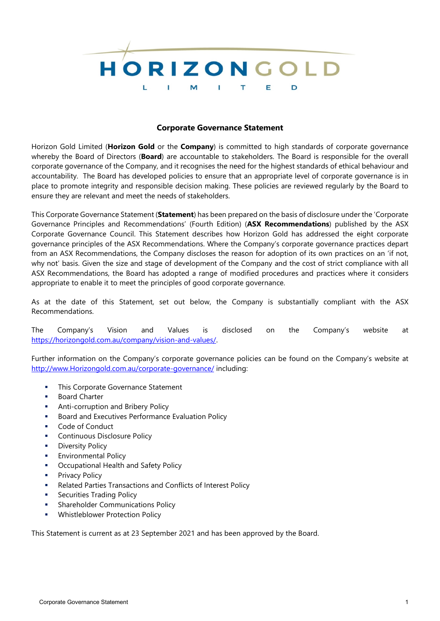

# **Corporate Governance Statement**

Horizon Gold Limited (**Horizon Gold** or the **Company**) is committed to high standards of corporate governance whereby the Board of Directors (**Board**) are accountable to stakeholders. The Board is responsible for the overall corporate governance of the Company, and it recognises the need for the highest standards of ethical behaviour and accountability. The Board has developed policies to ensure that an appropriate level of corporate governance is in place to promote integrity and responsible decision making. These policies are reviewed regularly by the Board to ensure they are relevant and meet the needs of stakeholders.

This Corporate Governance Statement (**Statement**) has been prepared on the basis of disclosure under the 'Corporate Governance Principles and Recommendations' (Fourth Edition) (**ASX Recommendations**) published by the ASX Corporate Governance Council. This Statement describes how Horizon Gold has addressed the eight corporate governance principles of the ASX Recommendations. Where the Company's corporate governance practices depart from an ASX Recommendations, the Company discloses the reason for adoption of its own practices on an 'if not, why not' basis. Given the size and stage of development of the Company and the cost of strict compliance with all ASX Recommendations, the Board has adopted a range of modified procedures and practices where it considers appropriate to enable it to meet the principles of good corporate governance.

As at the date of this Statement, set out below, the Company is substantially compliant with the ASX Recommendations.

The Company's Vision and Values is disclosed on the Company's website at https://horizongold.com.au/company/vision-and-values/.

Further information on the Company's corporate governance policies can be found on the Company's website at [http://www.Horizongold.com.au/corporate-governance/](http://www.horizongold.com.au/corporate-governance/) including:

- **This Corporate Governance Statement**
- Board Charter
- **Anti-corruption and Bribery Policy**
- Board and Executives Performance Evaluation Policy
- Code of Conduct
- **Continuous Disclosure Policy**
- **Diversity Policy**
- Environmental Policy
- **Occupational Health and Safety Policy**
- **Privacy Policy**
- Related Parties Transactions and Conflicts of Interest Policy
- Securities Trading Policy
- Shareholder Communications Policy
- **Whistleblower Protection Policy**

This Statement is current as at 23 September 2021 and has been approved by the Board.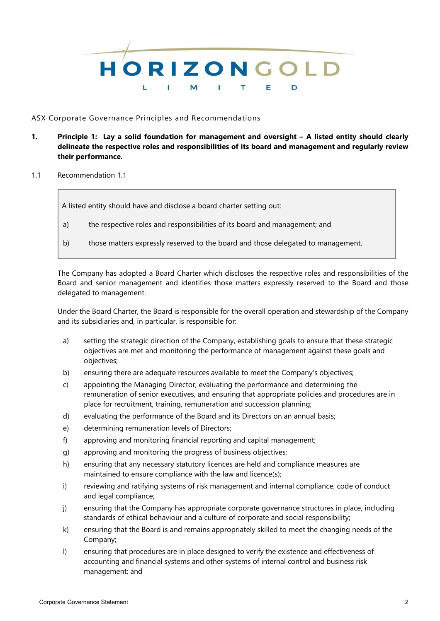

## ASX Corporate Governance Principles and Recommendations

- **1. Principle 1: Lay a solid foundation for management and oversight – A listed entity should clearly delineate the respective roles and responsibilities of its board and management and regularly review their performance.**
- 1.1 Recommendation 1.1

A listed entity should have and disclose a board charter setting out:

- a) the respective roles and responsibilities of its board and management; and
- b) those matters expressly reserved to the board and those delegated to management.

The Company has adopted a Board Charter which discloses the respective roles and responsibilities of the Board and senior management and identifies those matters expressly reserved to the Board and those delegated to management.

Under the Board Charter, the Board is responsible for the overall operation and stewardship of the Company and its subsidiaries and, in particular, is responsible for:

- a) setting the strategic direction of the Company, establishing goals to ensure that these strategic objectives are met and monitoring the performance of management against these goals and objectives;
- b) ensuring there are adequate resources available to meet the Company's objectives;
- c) appointing the Managing Director, evaluating the performance and determining the remuneration of senior executives, and ensuring that appropriate policies and procedures are in place for recruitment, training, remuneration and succession planning;
- d) evaluating the performance of the Board and its Directors on an annual basis;
- e) determining remuneration levels of Directors;
- f) approving and monitoring financial reporting and capital management;
- g) approving and monitoring the progress of business objectives;
- h) ensuring that any necessary statutory licences are held and compliance measures are maintained to ensure compliance with the law and licence(s);
- i) reviewing and ratifying systems of risk management and internal compliance, code of conduct and legal compliance;
- j) ensuring that the Company has appropriate corporate governance structures in place, including standards of ethical behaviour and a culture of corporate and social responsibility;
- k) ensuring that the Board is and remains appropriately skilled to meet the changing needs of the Company;
- l) ensuring that procedures are in place designed to verify the existence and effectiveness of accounting and financial systems and other systems of internal control and business risk management; and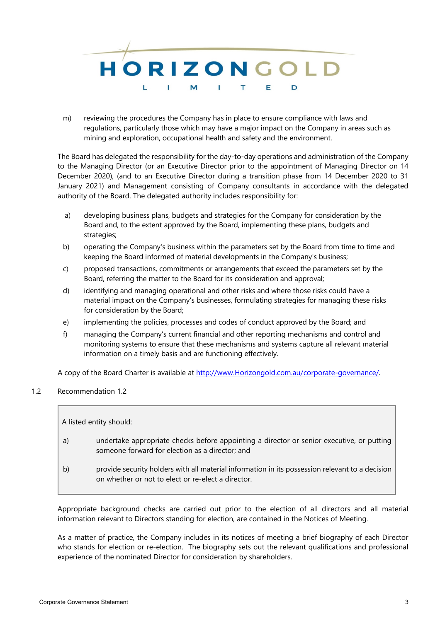

m) reviewing the procedures the Company has in place to ensure compliance with laws and regulations, particularly those which may have a major impact on the Company in areas such as mining and exploration, occupational health and safety and the environment.

The Board has delegated the responsibility for the day-to-day operations and administration of the Company to the Managing Director (or an Executive Director prior to the appointment of Managing Director on 14 December 2020), (and to an Executive Director during a transition phase from 14 December 2020 to 31 January 2021) and Management consisting of Company consultants in accordance with the delegated authority of the Board. The delegated authority includes responsibility for:

- a) developing business plans, budgets and strategies for the Company for consideration by the Board and, to the extent approved by the Board, implementing these plans, budgets and strategies;
- b) operating the Company's business within the parameters set by the Board from time to time and keeping the Board informed of material developments in the Company's business;
- c) proposed transactions, commitments or arrangements that exceed the parameters set by the Board, referring the matter to the Board for its consideration and approval;
- d) identifying and managing operational and other risks and where those risks could have a material impact on the Company's businesses, formulating strategies for managing these risks for consideration by the Board;
- e) implementing the policies, processes and codes of conduct approved by the Board; and
- f) managing the Company's current financial and other reporting mechanisms and control and monitoring systems to ensure that these mechanisms and systems capture all relevant material information on a timely basis and are functioning effectively.

A copy of the Board Charter is available at [http://www.Horizongold.com.au/corporate-governance/.](http://www.horizongold.com.au/corporate-governance/)

1.2 Recommendation 1.2

A listed entity should: a) undertake appropriate checks before appointing a director or senior executive, or putting someone forward for election as a director; and b) provide security holders with all material information in its possession relevant to a decision on whether or not to elect or re-elect a director.

Appropriate background checks are carried out prior to the election of all directors and all material information relevant to Directors standing for election, are contained in the Notices of Meeting.

As a matter of practice, the Company includes in its notices of meeting a brief biography of each Director who stands for election or re-election. The biography sets out the relevant qualifications and professional experience of the nominated Director for consideration by shareholders.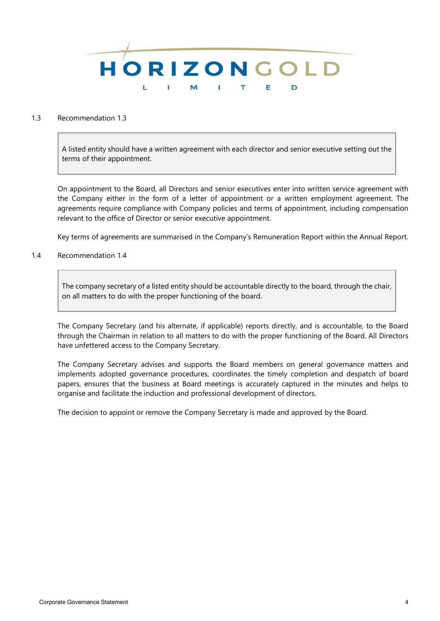

# 1.3 Recommendation 1.3

A listed entity should have a written agreement with each director and senior executive setting out the terms of their appointment.

On appointment to the Board, all Directors and senior executives enter into written service agreement with the Company either in the form of a letter of appointment or a written employment agreement. The agreements require compliance with Company policies and terms of appointment, including compensation relevant to the office of Director or senior executive appointment.

Key terms of agreements are summarised in the Company's Remuneration Report within the Annual Report.

1.4 Recommendation 1.4

The company secretary of a listed entity should be accountable directly to the board, through the chair, on all matters to do with the proper functioning of the board.

The Company Secretary (and his alternate, if applicable) reports directly, and is accountable, to the Board through the Chairman in relation to all matters to do with the proper functioning of the Board. All Directors have unfettered access to the Company Secretary.

The Company Secretary advises and supports the Board members on general governance matters and implements adopted governance procedures, coordinates the timely completion and despatch of board papers, ensures that the business at Board meetings is accurately captured in the minutes and helps to organise and facilitate the induction and professional development of directors.

The decision to appoint or remove the Company Secretary is made and approved by the Board.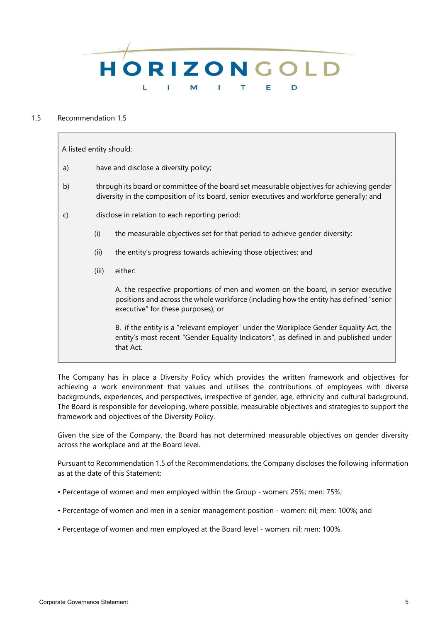

# 1.5 Recommendation 1.5

A listed entity should: a) have and disclose a diversity policy; b) through its board or committee of the board set measurable objectives for achieving gender diversity in the composition of its board, senior executives and workforce generally; and c) disclose in relation to each reporting period: (i) the measurable objectives set for that period to achieve gender diversity; (ii) the entity's progress towards achieving those objectives; and (iii) either: A. the respective proportions of men and women on the board, in senior executive positions and across the whole workforce (including how the entity has defined "senior executive" for these purposes); or B. if the entity is a "relevant employer" under the Workplace Gender Equality Act, the entity's most recent "Gender Equality Indicators", as defined in and published under that Act.

The Company has in place a Diversity Policy which provides the written framework and objectives for achieving a work environment that values and utilises the contributions of employees with diverse backgrounds, experiences, and perspectives, irrespective of gender, age, ethnicity and cultural background. The Board is responsible for developing, where possible, measurable objectives and strategies to support the framework and objectives of the Diversity Policy.

Given the size of the Company, the Board has not determined measurable objectives on gender diversity across the workplace and at the Board level.

Pursuant to Recommendation 1.5 of the Recommendations, the Company discloses the following information as at the date of this Statement:

- Percentage of women and men employed within the Group women: 25%; men: 75%;
- Percentage of women and men in a senior management position women: nil; men: 100%; and
- Percentage of women and men employed at the Board level women: nil; men: 100%.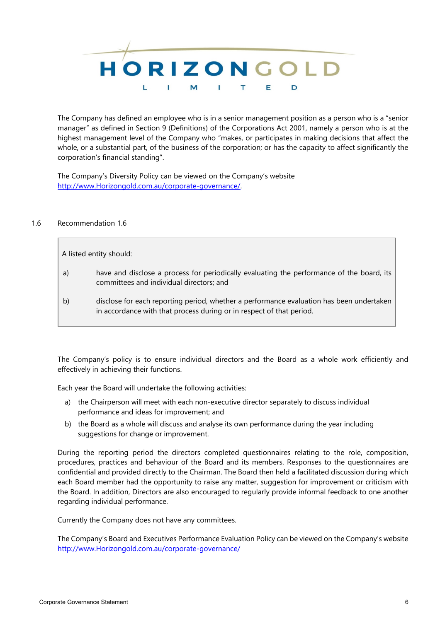

The Company has defined an employee who is in a senior management position as a person who is a "senior manager" as defined in Section 9 (Definitions) of the Corporations Act 2001, namely a person who is at the highest management level of the Company who "makes, or participates in making decisions that affect the whole, or a substantial part, of the business of the corporation; or has the capacity to affect significantly the corporation's financial standing".

The Company's Diversity Policy can be viewed on the Company's website [http://www.Horizongold.com.au/corporate-governance/.](http://www.horizongold.com.au/corporate-governance/)

## 1.6 Recommendation 1.6

A listed entity should:

- a) have and disclose a process for periodically evaluating the performance of the board, its committees and individual directors; and
- b) disclose for each reporting period, whether a performance evaluation has been undertaken in accordance with that process during or in respect of that period.

The Company's policy is to ensure individual directors and the Board as a whole work efficiently and effectively in achieving their functions.

Each year the Board will undertake the following activities:

- a) the Chairperson will meet with each non-executive director separately to discuss individual performance and ideas for improvement; and
- b) the Board as a whole will discuss and analyse its own performance during the year including suggestions for change or improvement.

During the reporting period the directors completed questionnaires relating to the role, composition, procedures, practices and behaviour of the Board and its members. Responses to the questionnaires are confidential and provided directly to the Chairman. The Board then held a facilitated discussion during which each Board member had the opportunity to raise any matter, suggestion for improvement or criticism with the Board. In addition, Directors are also encouraged to regularly provide informal feedback to one another regarding individual performance.

Currently the Company does not have any committees.

The Company's Board and Executives Performance Evaluation Policy can be viewed on the Company's website [http://www.Horizongold.com.au/corporate-governance/](http://www.horizongold.com.au/corporate-governance/)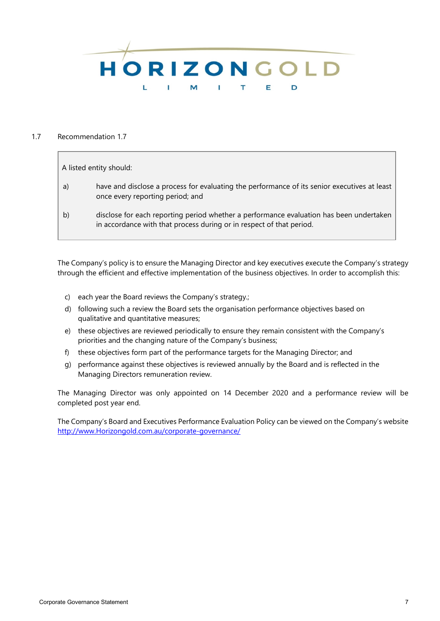

### 1.7 Recommendation 1.7

A listed entity should:

- a) have and disclose a process for evaluating the performance of its senior executives at least once every reporting period; and
- b) disclose for each reporting period whether a performance evaluation has been undertaken in accordance with that process during or in respect of that period.

The Company's policy is to ensure the Managing Director and key executives execute the Company's strategy through the efficient and effective implementation of the business objectives. In order to accomplish this:

- c) each year the Board reviews the Company's strategy.;
- d) following such a review the Board sets the organisation performance objectives based on qualitative and quantitative measures;
- e) these objectives are reviewed periodically to ensure they remain consistent with the Company's priorities and the changing nature of the Company's business;
- f) these objectives form part of the performance targets for the Managing Director; and
- g) performance against these objectives is reviewed annually by the Board and is reflected in the Managing Directors remuneration review.

The Managing Director was only appointed on 14 December 2020 and a performance review will be completed post year end.

The Company's Board and Executives Performance Evaluation Policy can be viewed on the Company's website [http://www.Horizongold.com.au/corporate-governance/](http://www.horizongold.com.au/corporate-governance/)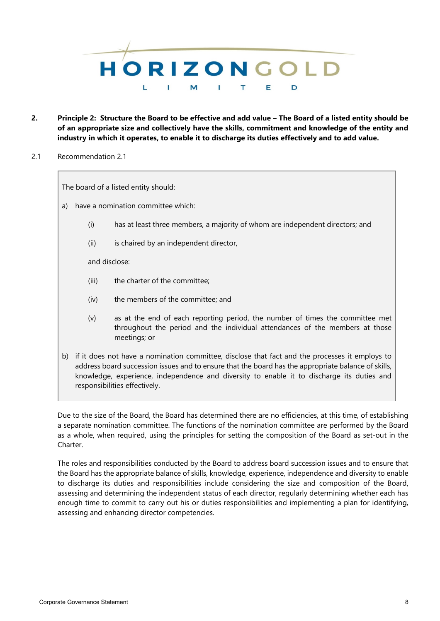

- **2. Principle 2: Structure the Board to be effective and add value – The Board of a listed entity should be of an appropriate size and collectively have the skills, commitment and knowledge of the entity and industry in which it operates, to enable it to discharge its duties effectively and to add value.**
- 2.1 Recommendation 2.1

The board of a listed entity should:

- a) have a nomination committee which:
	- (i) has at least three members, a majority of whom are independent directors; and
	- (ii) is chaired by an independent director,

and disclose:

- (iii) the charter of the committee;
- (iv) the members of the committee; and
- (v) as at the end of each reporting period, the number of times the committee met throughout the period and the individual attendances of the members at those meetings; or
- b) if it does not have a nomination committee, disclose that fact and the processes it employs to address board succession issues and to ensure that the board has the appropriate balance of skills, knowledge, experience, independence and diversity to enable it to discharge its duties and responsibilities effectively.

Due to the size of the Board, the Board has determined there are no efficiencies, at this time, of establishing a separate nomination committee. The functions of the nomination committee are performed by the Board as a whole, when required, using the principles for setting the composition of the Board as set-out in the Charter.

The roles and responsibilities conducted by the Board to address board succession issues and to ensure that the Board has the appropriate balance of skills, knowledge, experience, independence and diversity to enable to discharge its duties and responsibilities include considering the size and composition of the Board, assessing and determining the independent status of each director, regularly determining whether each has enough time to commit to carry out his or duties responsibilities and implementing a plan for identifying, assessing and enhancing director competencies.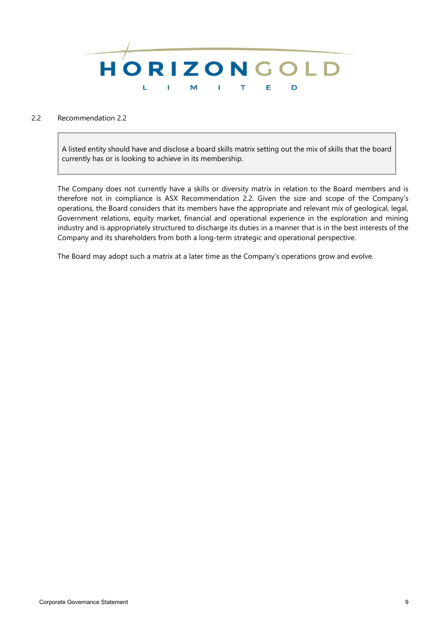

# 2.2 Recommendation 2.2

A listed entity should have and disclose a board skills matrix setting out the mix of skills that the board currently has or is looking to achieve in its membership.

The Company does not currently have a skills or diversity matrix in relation to the Board members and is therefore not in compliance is ASX Recommendation 2.2. Given the size and scope of the Company's operations, the Board considers that its members have the appropriate and relevant mix of geological, legal, Government relations, equity market, financial and operational experience in the exploration and mining industry and is appropriately structured to discharge its duties in a manner that is in the best interests of the Company and its shareholders from both a long-term strategic and operational perspective.

The Board may adopt such a matrix at a later time as the Company's operations grow and evolve.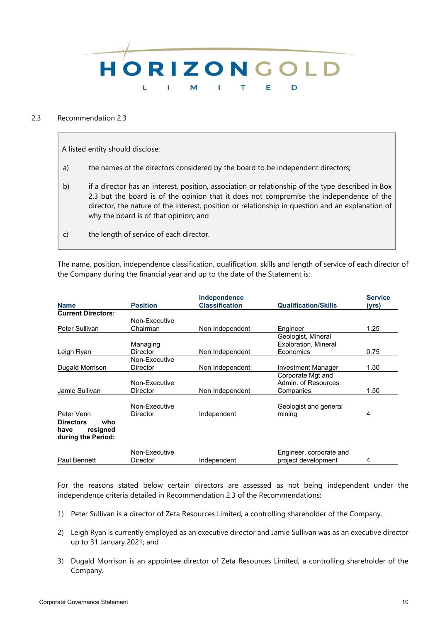

# 2.3 Recommendation 2.3

A listed entity should disclose:

- a) the names of the directors considered by the board to be independent directors;
- b) if a director has an interest, position, association or relationship of the type described in Box 2.3 but the board is of the opinion that it does not compromise the independence of the director, the nature of the interest, position or relationship in question and an explanation of why the board is of that opinion; and
- c) the length of service of each director.

The name, position, independence classification, qualification, skills and length of service of each director of the Company during the financial year and up to the date of the Statement is:

|                                                                   |                 | Independence          |                             | <b>Service</b> |
|-------------------------------------------------------------------|-----------------|-----------------------|-----------------------------|----------------|
| <b>Name</b>                                                       | <b>Position</b> | <b>Classification</b> | <b>Qualification/Skills</b> | (yrs)          |
| <b>Current Directors:</b>                                         |                 |                       |                             |                |
|                                                                   | Non-Executive   |                       |                             |                |
| Peter Sullivan                                                    | Chairman        | Non Independent       | Engineer                    | 1.25           |
|                                                                   |                 |                       | Geologist, Mineral          |                |
|                                                                   | Managing        |                       | Exploration, Mineral        |                |
| Leigh Ryan                                                        | <b>Director</b> | Non Independent       | Economics                   | 0.75           |
|                                                                   | Non-Executive   |                       |                             |                |
| Dugald Morrison                                                   | <b>Director</b> | Non Independent       | Investment Manager          | 1.50           |
|                                                                   |                 |                       | Corporate Mgt and           |                |
|                                                                   | Non-Executive   |                       | Admin. of Resources         |                |
| Jamie Sullivan                                                    | Director        | Non Independent       | Companies                   | 1.50           |
|                                                                   | Non-Executive   |                       | Geologist and general       |                |
| Peter Venn                                                        | Director        | Independent           | mining                      | 4              |
| who<br><b>Directors</b><br>resigned<br>have<br>during the Period: |                 |                       |                             |                |
|                                                                   | Non-Executive   |                       | Engineer, corporate and     |                |
| Paul Bennett                                                      | <b>Director</b> | Independent           | project development         | 4              |

For the reasons stated below certain directors are assessed as not being independent under the independence criteria detailed in Recommendation 2.3 of the Recommendations:

- 1) Peter Sullivan is a director of Zeta Resources Limited, a controlling shareholder of the Company.
- 2) Leigh Ryan is currently employed as an executive director and Jamie Sullivan was as an executive director up to 31 January 2021; and
- 3) Dugald Morrison is an appointee director of Zeta Resources Limited, a controlling shareholder of the Company.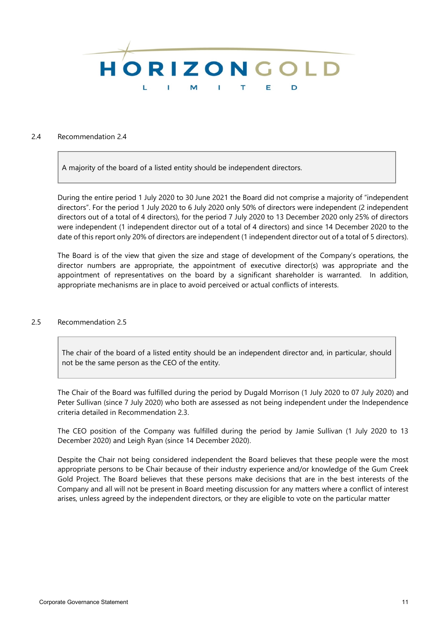

#### 2.4 Recommendation 2.4

A majority of the board of a listed entity should be independent directors.

During the entire period 1 July 2020 to 30 June 2021 the Board did not comprise a majority of "independent directors". For the period 1 July 2020 to 6 July 2020 only 50% of directors were independent (2 independent directors out of a total of 4 directors), for the period 7 July 2020 to 13 December 2020 only 25% of directors were independent (1 independent director out of a total of 4 directors) and since 14 December 2020 to the date of this report only 20% of directors are independent (1 independent director out of a total of 5 directors).

The Board is of the view that given the size and stage of development of the Company's operations, the director numbers are appropriate, the appointment of executive director(s) was appropriate and the appointment of representatives on the board by a significant shareholder is warranted. In addition, appropriate mechanisms are in place to avoid perceived or actual conflicts of interests.

### 2.5 Recommendation 2.5

The chair of the board of a listed entity should be an independent director and, in particular, should not be the same person as the CEO of the entity.

The Chair of the Board was fulfilled during the period by Dugald Morrison (1 July 2020 to 07 July 2020) and Peter Sullivan (since 7 July 2020) who both are assessed as not being independent under the Independence criteria detailed in Recommendation 2.3.

The CEO position of the Company was fulfilled during the period by Jamie Sullivan (1 July 2020 to 13 December 2020) and Leigh Ryan (since 14 December 2020).

Despite the Chair not being considered independent the Board believes that these people were the most appropriate persons to be Chair because of their industry experience and/or knowledge of the Gum Creek Gold Project. The Board believes that these persons make decisions that are in the best interests of the Company and all will not be present in Board meeting discussion for any matters where a conflict of interest arises, unless agreed by the independent directors, or they are eligible to vote on the particular matter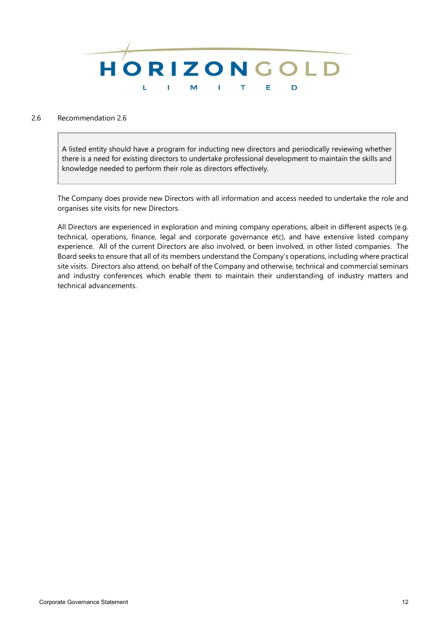

# 2.6 Recommendation 2.6

A listed entity should have a program for inducting new directors and periodically reviewing whether there is a need for existing directors to undertake professional development to maintain the skills and knowledge needed to perform their role as directors effectively.

The Company does provide new Directors with all information and access needed to undertake the role and organises site visits for new Directors.

All Directors are experienced in exploration and mining company operations, albeit in different aspects (e.g. technical, operations, finance, legal and corporate governance etc), and have extensive listed company experience. All of the current Directors are also involved, or been involved, in other listed companies. The Board seeks to ensure that all of its members understand the Company's operations, including where practical site visits. Directors also attend, on behalf of the Company and otherwise, technical and commercial seminars and industry conferences which enable them to maintain their understanding of industry matters and technical advancements.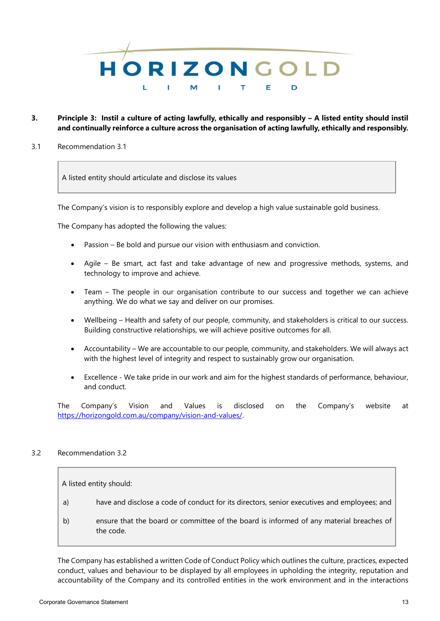

# **3. Principle 3: Instil a culture of acting lawfully, ethically and responsibly – A listed entity should instil and continually reinforce a culture across the organisation of acting lawfully, ethically and responsibly.**

3.1 Recommendation 3.1

A listed entity should articulate and disclose its values

The Company's vision is to responsibly explore and develop a high value sustainable gold business.

The Company has adopted the following the values:

- Passion Be bold and pursue our vision with enthusiasm and conviction.
- Agile Be smart, act fast and take advantage of new and progressive methods, systems, and technology to improve and achieve.
- Team The people in our organisation contribute to our success and together we can achieve anything. We do what we say and deliver on our promises.
- Wellbeing Health and safety of our people, community, and stakeholders is critical to our success. Building constructive relationships, we will achieve positive outcomes for all.
- Accountability We are accountable to our people, community, and stakeholders. We will always act with the highest level of integrity and respect to sustainably grow our organisation.
- Excellence We take pride in our work and aim for the highest standards of performance, behaviour, and conduct.

The Company's Vision and Values is disclosed on the Company's website at https://horizongold.com.au/company/vision-and-values/.

# 3.2 Recommendation 3.2

A listed entity should:

- a) have and disclose a code of conduct for its directors, senior executives and employees; and
- b) ensure that the board or committee of the board is informed of any material breaches of the code.

The Company has established a written Code of Conduct Policy which outlines the culture, practices, expected conduct, values and behaviour to be displayed by all employees in upholding the integrity, reputation and accountability of the Company and its controlled entities in the work environment and in the interactions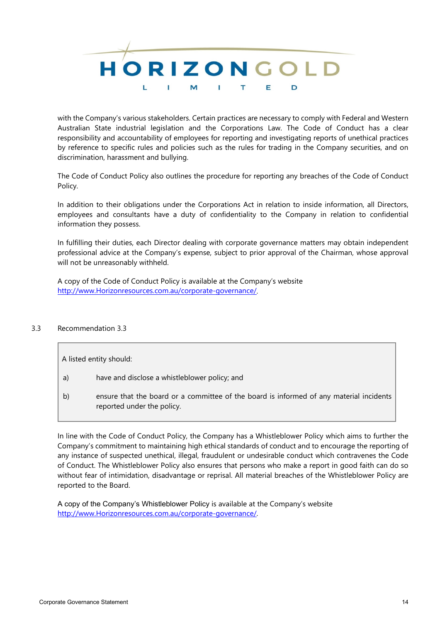

with the Company's various stakeholders. Certain practices are necessary to comply with Federal and Western Australian State industrial legislation and the Corporations Law. The Code of Conduct has a clear responsibility and accountability of employees for reporting and investigating reports of unethical practices by reference to specific rules and policies such as the rules for trading in the Company securities, and on discrimination, harassment and bullying.

The Code of Conduct Policy also outlines the procedure for reporting any breaches of the Code of Conduct Policy.

In addition to their obligations under the Corporations Act in relation to inside information, all Directors, employees and consultants have a duty of confidentiality to the Company in relation to confidential information they possess.

In fulfilling their duties, each Director dealing with corporate governance matters may obtain independent professional advice at the Company's expense, subject to prior approval of the Chairman, whose approval will not be unreasonably withheld.

A copy of the Code of Conduct Policy is available at the Company's website [http://www.Horizonresources.com.au/corporate-governance/.](http://www.horizonresources.com.au/corporate-governance/)

# 3.3 Recommendation 3.3

- a) have and disclose a whistleblower policy; and
- b) ensure that the board or a committee of the board is informed of any material incidents reported under the policy.

In line with the Code of Conduct Policy, the Company has a Whistleblower Policy which aims to further the Company's commitment to maintaining high ethical standards of conduct and to encourage the reporting of any instance of suspected unethical, illegal, fraudulent or undesirable conduct which contravenes the Code of Conduct. The Whistleblower Policy also ensures that persons who make a report in good faith can do so without fear of intimidation, disadvantage or reprisal. All material breaches of the Whistleblower Policy are reported to the Board.

A copy of the Company's Whistleblower Policy is available at the Company's website [http://www.Horizonresources.com.au/corporate-governance/.](http://www.horizonresources.com.au/corporate-governance/)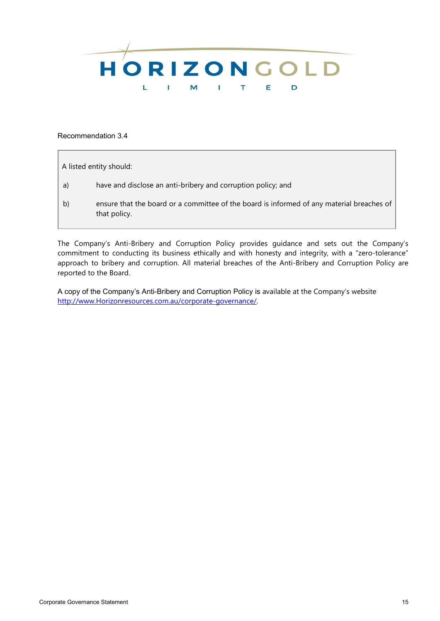

Recommendation 3.4

A listed entity should:

- a) have and disclose an anti-bribery and corruption policy; and
- b) ensure that the board or a committee of the board is informed of any material breaches of that policy.

The Company's Anti-Bribery and Corruption Policy provides guidance and sets out the Company's commitment to conducting its business ethically and with honesty and integrity, with a "zero-tolerance" approach to bribery and corruption. All material breaches of the Anti-Bribery and Corruption Policy are reported to the Board.

A copy of the Company's Anti-Bribery and Corruption Policy is available at the Company's website [http://www.Horizonresources.com.au/corporate-governance/.](http://www.horizonresources.com.au/corporate-governance/)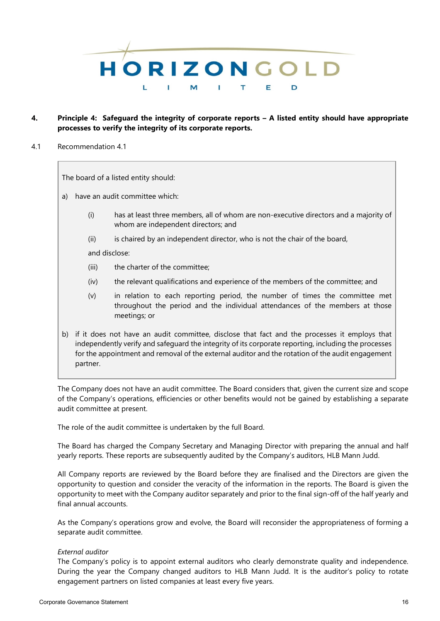

# **4. Principle 4: Safeguard the integrity of corporate reports – A listed entity should have appropriate processes to verify the integrity of its corporate reports.**

4.1 Recommendation 4.1

The board of a listed entity should:

- a) have an audit committee which:
	- (i) has at least three members, all of whom are non-executive directors and a majority of whom are independent directors; and
	- (ii) is chaired by an independent director, who is not the chair of the board,

and disclose:

- (iii) the charter of the committee;
- (iv) the relevant qualifications and experience of the members of the committee; and
- (v) in relation to each reporting period, the number of times the committee met throughout the period and the individual attendances of the members at those meetings; or
- b) if it does not have an audit committee, disclose that fact and the processes it employs that independently verify and safeguard the integrity of its corporate reporting, including the processes for the appointment and removal of the external auditor and the rotation of the audit engagement partner.

The Company does not have an audit committee. The Board considers that, given the current size and scope of the Company's operations, efficiencies or other benefits would not be gained by establishing a separate audit committee at present.

The role of the audit committee is undertaken by the full Board.

The Board has charged the Company Secretary and Managing Director with preparing the annual and half yearly reports. These reports are subsequently audited by the Company's auditors, HLB Mann Judd.

All Company reports are reviewed by the Board before they are finalised and the Directors are given the opportunity to question and consider the veracity of the information in the reports. The Board is given the opportunity to meet with the Company auditor separately and prior to the final sign-off of the half yearly and final annual accounts.

As the Company's operations grow and evolve, the Board will reconsider the appropriateness of forming a separate audit committee.

# *External auditor*

The Company's policy is to appoint external auditors who clearly demonstrate quality and independence. During the year the Company changed auditors to HLB Mann Judd. It is the auditor's policy to rotate engagement partners on listed companies at least every five years.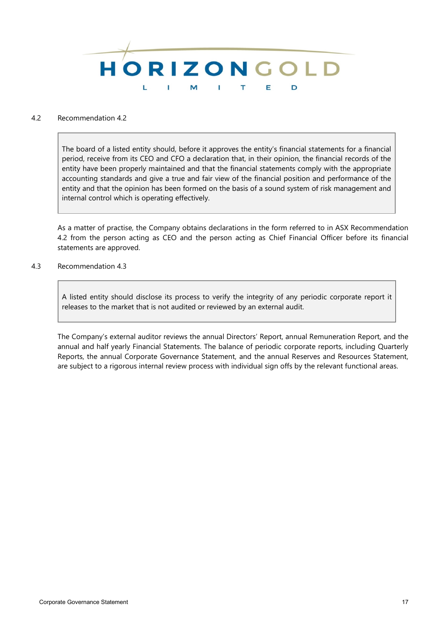

### 4.2 Recommendation 4.2

The board of a listed entity should, before it approves the entity's financial statements for a financial period, receive from its CEO and CFO a declaration that, in their opinion, the financial records of the entity have been properly maintained and that the financial statements comply with the appropriate accounting standards and give a true and fair view of the financial position and performance of the entity and that the opinion has been formed on the basis of a sound system of risk management and internal control which is operating effectively.

As a matter of practise, the Company obtains declarations in the form referred to in ASX Recommendation 4.2 from the person acting as CEO and the person acting as Chief Financial Officer before its financial statements are approved.

4.3 Recommendation 4.3

A listed entity should disclose its process to verify the integrity of any periodic corporate report it releases to the market that is not audited or reviewed by an external audit.

The Company's external auditor reviews the annual Directors' Report, annual Remuneration Report, and the annual and half yearly Financial Statements. The balance of periodic corporate reports, including Quarterly Reports, the annual Corporate Governance Statement, and the annual Reserves and Resources Statement, are subject to a rigorous internal review process with individual sign offs by the relevant functional areas.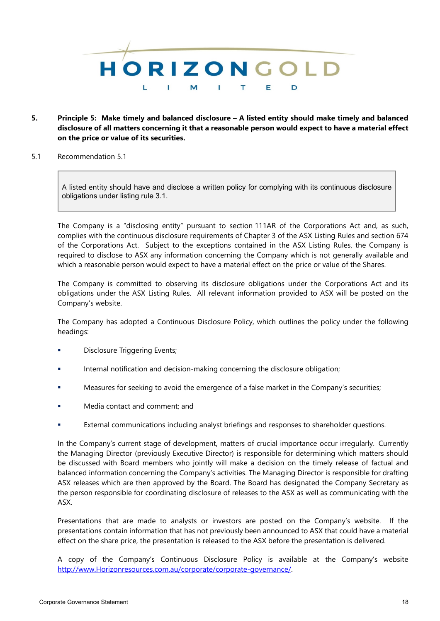

- **5. Principle 5: Make timely and balanced disclosure – A listed entity should make timely and balanced disclosure of all matters concerning it that a reasonable person would expect to have a material effect on the price or value of its securities.**
- 5.1 Recommendation 5.1

A listed entity should have and disclose a written policy for complying with its continuous disclosure obligations under listing rule 3.1.

The Company is a "disclosing entity" pursuant to section 111AR of the Corporations Act and, as such, complies with the continuous disclosure requirements of Chapter 3 of the ASX Listing Rules and section 674 of the Corporations Act. Subject to the exceptions contained in the ASX Listing Rules, the Company is required to disclose to ASX any information concerning the Company which is not generally available and which a reasonable person would expect to have a material effect on the price or value of the Shares.

The Company is committed to observing its disclosure obligations under the Corporations Act and its obligations under the ASX Listing Rules. All relevant information provided to ASX will be posted on the Company's website.

The Company has adopted a Continuous Disclosure Policy, which outlines the policy under the following headings:

- Disclosure Triggering Events;
- Internal notification and decision-making concerning the disclosure obligation;
- Measures for seeking to avoid the emergence of a false market in the Company's securities;
- Media contact and comment; and
- External communications including analyst briefings and responses to shareholder questions.

In the Company's current stage of development, matters of crucial importance occur irregularly. Currently the Managing Director (previously Executive Director) is responsible for determining which matters should be discussed with Board members who jointly will make a decision on the timely release of factual and balanced information concerning the Company's activities. The Managing Director is responsible for drafting ASX releases which are then approved by the Board. The Board has designated the Company Secretary as the person responsible for coordinating disclosure of releases to the ASX as well as communicating with the ASX.

Presentations that are made to analysts or investors are posted on the Company's website. If the presentations contain information that has not previously been announced to ASX that could have a material effect on the share price, the presentation is released to the ASX before the presentation is delivered.

A copy of the Company's Continuous Disclosure Policy is available at the Company's website [http://www.Horizonresources.com.au/corporate/corporate-governance/.](http://www.exoreresources.com.au/corporate/corporate-governance/)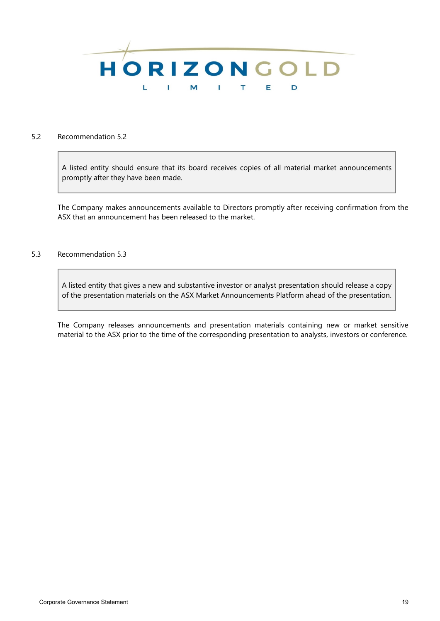

#### 5.2 Recommendation 5.2

A listed entity should ensure that its board receives copies of all material market announcements promptly after they have been made.

The Company makes announcements available to Directors promptly after receiving confirmation from the ASX that an announcement has been released to the market.

## 5.3 Recommendation 5.3

A listed entity that gives a new and substantive investor or analyst presentation should release a copy of the presentation materials on the ASX Market Announcements Platform ahead of the presentation.

The Company releases announcements and presentation materials containing new or market sensitive material to the ASX prior to the time of the corresponding presentation to analysts, investors or conference.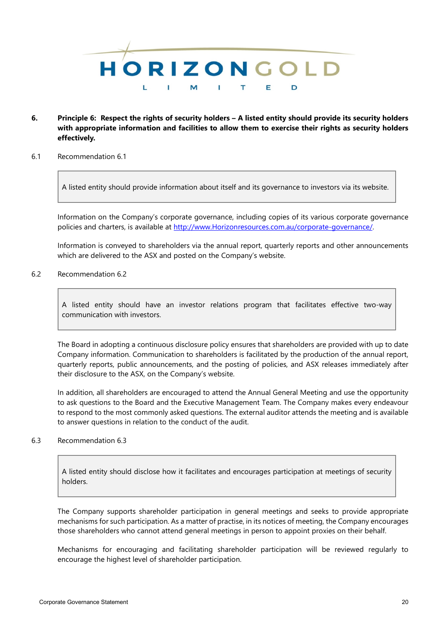

- **6. Principle 6: Respect the rights of security holders – A listed entity should provide its security holders with appropriate information and facilities to allow them to exercise their rights as security holders effectively.**
- 6.1 Recommendation 6.1

A listed entity should provide information about itself and its governance to investors via its website.

Information on the Company's corporate governance, including copies of its various corporate governance policies and charters, is available at [http://www.Horizonresources.com.au/corporate-governance/.](http://www.horizonresources.com.au/corporate-governance/)

Information is conveyed to shareholders via the annual report, quarterly reports and other announcements which are delivered to the ASX and posted on the Company's website.

6.2 Recommendation 6.2

A listed entity should have an investor relations program that facilitates effective two-way communication with investors.

The Board in adopting a continuous disclosure policy ensures that shareholders are provided with up to date Company information. Communication to shareholders is facilitated by the production of the annual report, quarterly reports, public announcements, and the posting of policies, and ASX releases immediately after their disclosure to the ASX, on the Company's website.

In addition, all shareholders are encouraged to attend the Annual General Meeting and use the opportunity to ask questions to the Board and the Executive Management Team. The Company makes every endeavour to respond to the most commonly asked questions. The external auditor attends the meeting and is available to answer questions in relation to the conduct of the audit.

### 6.3 Recommendation 6.3

A listed entity should disclose how it facilitates and encourages participation at meetings of security holders.

The Company supports shareholder participation in general meetings and seeks to provide appropriate mechanisms for such participation. As a matter of practise, in its notices of meeting, the Company encourages those shareholders who cannot attend general meetings in person to appoint proxies on their behalf.

Mechanisms for encouraging and facilitating shareholder participation will be reviewed regularly to encourage the highest level of shareholder participation.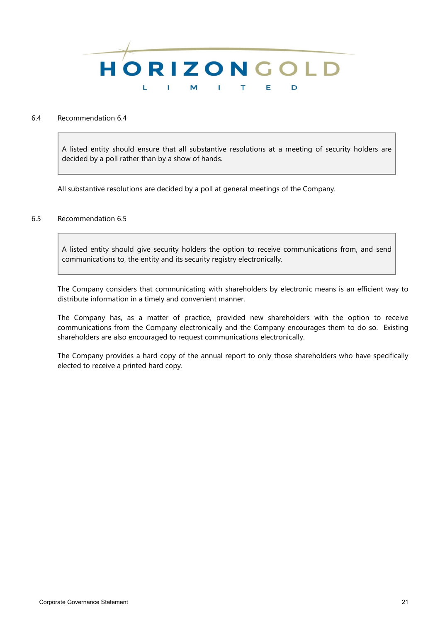

### 6.4 Recommendation 6.4

A listed entity should ensure that all substantive resolutions at a meeting of security holders are decided by a poll rather than by a show of hands.

All substantive resolutions are decided by a poll at general meetings of the Company.

# 6.5 Recommendation 6.5

A listed entity should give security holders the option to receive communications from, and send communications to, the entity and its security registry electronically.

The Company considers that communicating with shareholders by electronic means is an efficient way to distribute information in a timely and convenient manner.

The Company has, as a matter of practice, provided new shareholders with the option to receive communications from the Company electronically and the Company encourages them to do so. Existing shareholders are also encouraged to request communications electronically.

The Company provides a hard copy of the annual report to only those shareholders who have specifically elected to receive a printed hard copy.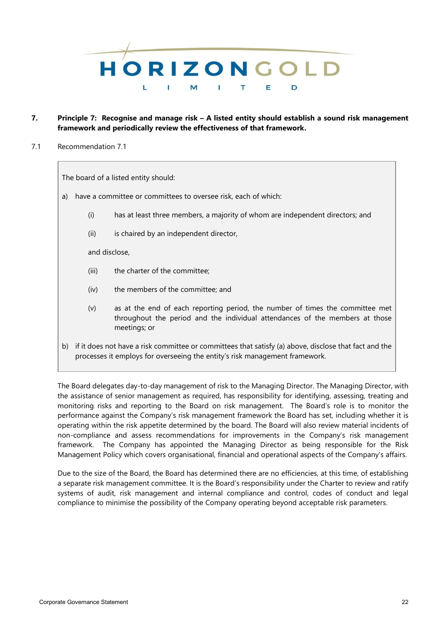

- **7. Principle 7: Recognise and manage risk – A listed entity should establish a sound risk management framework and periodically review the effectiveness of that framework.**
- 7.1 Recommendation 7.1

The board of a listed entity should:

- a) have a committee or committees to oversee risk, each of which:
	- (i) has at least three members, a majority of whom are independent directors; and
	- (ii) is chaired by an independent director,

and disclose,

- (iii) the charter of the committee;
- (iv) the members of the committee; and
- (v) as at the end of each reporting period, the number of times the committee met throughout the period and the individual attendances of the members at those meetings; or
- b) if it does not have a risk committee or committees that satisfy (a) above, disclose that fact and the processes it employs for overseeing the entity's risk management framework.

The Board delegates day-to-day management of risk to the Managing Director. The Managing Director, with the assistance of senior management as required, has responsibility for identifying, assessing, treating and monitoring risks and reporting to the Board on risk management. The Board's role is to monitor the performance against the Company's risk management framework the Board has set, including whether it is operating within the risk appetite determined by the board. The Board will also review material incidents of non-compliance and assess recommendations for improvements in the Company's risk management framework. The Company has appointed the Managing Director as being responsible for the Risk Management Policy which covers organisational, financial and operational aspects of the Company's affairs.

Due to the size of the Board, the Board has determined there are no efficiencies, at this time, of establishing a separate risk management committee. It is the Board's responsibility under the Charter to review and ratify systems of audit, risk management and internal compliance and control, codes of conduct and legal compliance to minimise the possibility of the Company operating beyond acceptable risk parameters.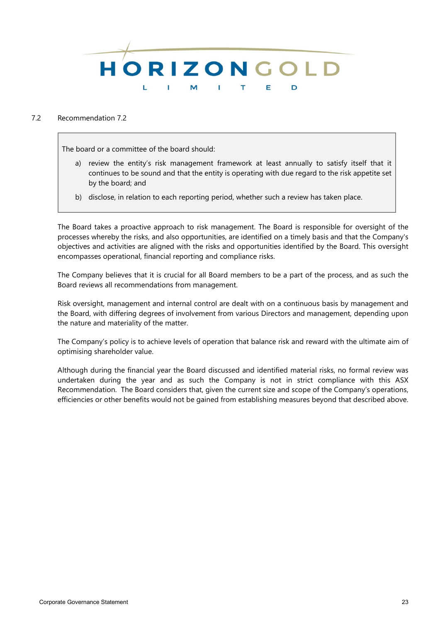

# 7.2 Recommendation 7.2

The board or a committee of the board should:

- a) review the entity's risk management framework at least annually to satisfy itself that it continues to be sound and that the entity is operating with due regard to the risk appetite set by the board; and
- b) disclose, in relation to each reporting period, whether such a review has taken place.

The Board takes a proactive approach to risk management. The Board is responsible for oversight of the processes whereby the risks, and also opportunities, are identified on a timely basis and that the Company's objectives and activities are aligned with the risks and opportunities identified by the Board. This oversight encompasses operational, financial reporting and compliance risks.

The Company believes that it is crucial for all Board members to be a part of the process, and as such the Board reviews all recommendations from management.

Risk oversight, management and internal control are dealt with on a continuous basis by management and the Board, with differing degrees of involvement from various Directors and management, depending upon the nature and materiality of the matter.

The Company's policy is to achieve levels of operation that balance risk and reward with the ultimate aim of optimising shareholder value.

Although during the financial year the Board discussed and identified material risks, no formal review was undertaken during the year and as such the Company is not in strict compliance with this ASX Recommendation. The Board considers that, given the current size and scope of the Company's operations, efficiencies or other benefits would not be gained from establishing measures beyond that described above.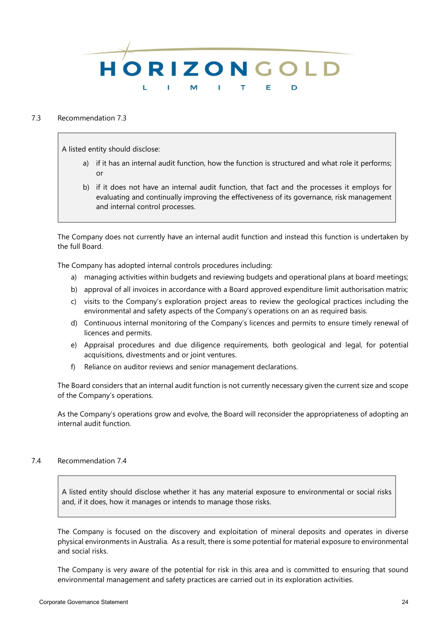

#### 7.3 Recommendation 7.3

A listed entity should disclose:

- a) if it has an internal audit function, how the function is structured and what role it performs; or
- b) if it does not have an internal audit function, that fact and the processes it employs for evaluating and continually improving the effectiveness of its governance, risk management and internal control processes.

The Company does not currently have an internal audit function and instead this function is undertaken by the full Board.

The Company has adopted internal controls procedures including:

- a) managing activities within budgets and reviewing budgets and operational plans at board meetings;
- b) approval of all invoices in accordance with a Board approved expenditure limit authorisation matrix;
- c) visits to the Company's exploration project areas to review the geological practices including the environmental and safety aspects of the Company's operations on an as required basis.
- d) Continuous internal monitoring of the Company's licences and permits to ensure timely renewal of licences and permits.
- e) Appraisal procedures and due diligence requirements, both geological and legal, for potential acquisitions, divestments and or joint ventures.
- f) Reliance on auditor reviews and senior management declarations.

The Board considers that an internal audit function is not currently necessary given the current size and scope of the Company's operations.

As the Company's operations grow and evolve, the Board will reconsider the appropriateness of adopting an internal audit function.

# 7.4 Recommendation 7.4

A listed entity should disclose whether it has any material exposure to environmental or social risks and, if it does, how it manages or intends to manage those risks.

The Company is focused on the discovery and exploitation of mineral deposits and operates in diverse physical environments in Australia. As a result, there is some potential for material exposure to environmental and social risks.

The Company is very aware of the potential for risk in this area and is committed to ensuring that sound environmental management and safety practices are carried out in its exploration activities.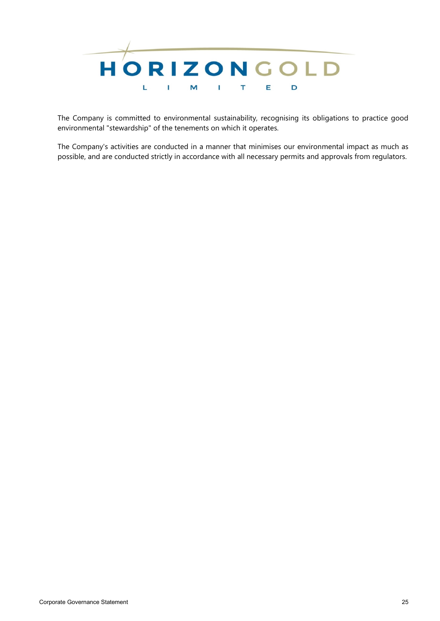

The Company is committed to environmental sustainability, recognising its obligations to practice good environmental "stewardship" of the tenements on which it operates.

The Company's activities are conducted in a manner that minimises our environmental impact as much as possible, and are conducted strictly in accordance with all necessary permits and approvals from regulators.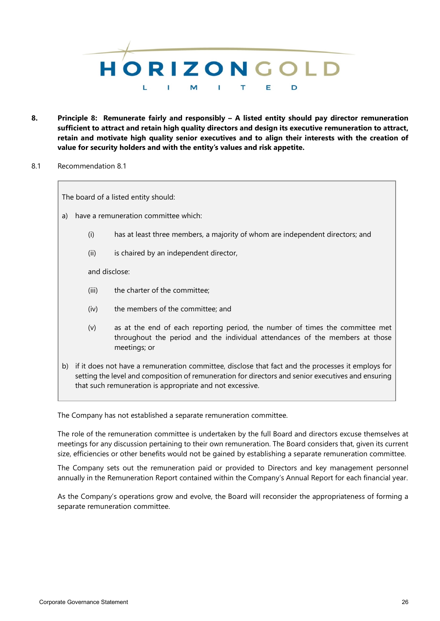

- **8. Principle 8: Remunerate fairly and responsibly – A listed entity should pay director remuneration sufficient to attract and retain high quality directors and design its executive remuneration to attract, retain and motivate high quality senior executives and to align their interests with the creation of value for security holders and with the entity's values and risk appetite.**
- 8.1 Recommendation 8.1

The board of a listed entity should:

- a) have a remuneration committee which:
	- (i) has at least three members, a majority of whom are independent directors; and
	- (ii) is chaired by an independent director,

and disclose:

- (iii) the charter of the committee;
- (iv) the members of the committee; and
- (v) as at the end of each reporting period, the number of times the committee met throughout the period and the individual attendances of the members at those meetings; or
- b) if it does not have a remuneration committee, disclose that fact and the processes it employs for setting the level and composition of remuneration for directors and senior executives and ensuring that such remuneration is appropriate and not excessive.

The Company has not established a separate remuneration committee.

The role of the remuneration committee is undertaken by the full Board and directors excuse themselves at meetings for any discussion pertaining to their own remuneration. The Board considers that, given its current size, efficiencies or other benefits would not be gained by establishing a separate remuneration committee.

The Company sets out the remuneration paid or provided to Directors and key management personnel annually in the Remuneration Report contained within the Company's Annual Report for each financial year.

As the Company's operations grow and evolve, the Board will reconsider the appropriateness of forming a separate remuneration committee.